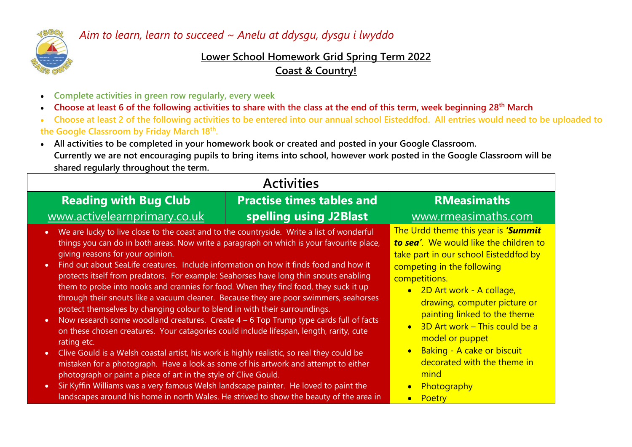

## *Aim to learn, learn to succeed ~ Anelu at ddysgu, dysgu i lwyddo*

## **Lower School Homework Grid Spring Term 2022 Coast & Country!**

- **Complete activities in green row regularly, every week**
- **Choose at least 6 of the following activities to share with the class at the end of this term, week beginning 28th March**
- **Choose at least 2 of the following activities to be entered into our annual school Eisteddfod. All entries would need to be uploaded to the Google Classroom by Friday March 18th .**
- **All activities to be completed in your homework book or created and posted in your Google Classroom. Currently we are not encouraging pupils to bring items into school, however work posted in the Google Classroom will be shared regularly throughout the term.**

| <b>Activities</b>                                                                                                                                                                                                                                                                                                                                                                                                                                                                                                                                                                                                                                                                                                                                                                                                                                                                                                                                                                                                                                                                                                                                                                           |                                  |                                                                                                                                                                                                                                                                                                                                                                                              |
|---------------------------------------------------------------------------------------------------------------------------------------------------------------------------------------------------------------------------------------------------------------------------------------------------------------------------------------------------------------------------------------------------------------------------------------------------------------------------------------------------------------------------------------------------------------------------------------------------------------------------------------------------------------------------------------------------------------------------------------------------------------------------------------------------------------------------------------------------------------------------------------------------------------------------------------------------------------------------------------------------------------------------------------------------------------------------------------------------------------------------------------------------------------------------------------------|----------------------------------|----------------------------------------------------------------------------------------------------------------------------------------------------------------------------------------------------------------------------------------------------------------------------------------------------------------------------------------------------------------------------------------------|
| <b>Reading with Bug Club</b>                                                                                                                                                                                                                                                                                                                                                                                                                                                                                                                                                                                                                                                                                                                                                                                                                                                                                                                                                                                                                                                                                                                                                                | <b>Practise times tables and</b> | <b>RMeasimaths</b>                                                                                                                                                                                                                                                                                                                                                                           |
| www.activelearnprimary.co.uk                                                                                                                                                                                                                                                                                                                                                                                                                                                                                                                                                                                                                                                                                                                                                                                                                                                                                                                                                                                                                                                                                                                                                                | spelling using J2Blast           | www.rmeasimaths.com                                                                                                                                                                                                                                                                                                                                                                          |
| We are lucky to live close to the coast and to the countryside. Write a list of wonderful<br>$\bullet$<br>things you can do in both areas. Now write a paragraph on which is your favourite place,<br>giving reasons for your opinion.<br>Find out about SeaLife creatures. Include information on how it finds food and how it<br>$\bullet$<br>protects itself from predators. For example: Seahorses have long thin snouts enabling<br>them to probe into nooks and crannies for food. When they find food, they suck it up<br>through their snouts like a vacuum cleaner. Because they are poor swimmers, seahorses<br>protect themselves by changing colour to blend in with their surroundings.<br>Now research some woodland creatures. Create $4 - 6$ Top Trump type cards full of facts<br>$\bullet$<br>on these chosen creatures. Your catagories could include lifespan, length, rarity, cute<br>rating etc.<br>Clive Gould is a Welsh coastal artist, his work is highly realistic, so real they could be<br>$\bullet$<br>mistaken for a photograph. Have a look as some of his artwork and attempt to either<br>photograph or paint a piece of art in the style of Clive Gould. |                                  | The Urdd theme this year is 'Summit<br>to sea'. We would like the children to<br>take part in our school Eisteddfod by<br>competing in the following<br>competitions.<br>• 2D Art work - A collage,<br>drawing, computer picture or<br>painting linked to the theme<br>3D Art work – This could be a<br>model or puppet<br>Baking - A cake or biscuit<br>decorated with the theme in<br>mind |
| Sir Kyffin Williams was a very famous Welsh landscape painter. He loved to paint the<br>$\bullet$<br>landscapes around his home in north Wales. He strived to show the beauty of the area in                                                                                                                                                                                                                                                                                                                                                                                                                                                                                                                                                                                                                                                                                                                                                                                                                                                                                                                                                                                                |                                  | Photography<br>Poetry                                                                                                                                                                                                                                                                                                                                                                        |